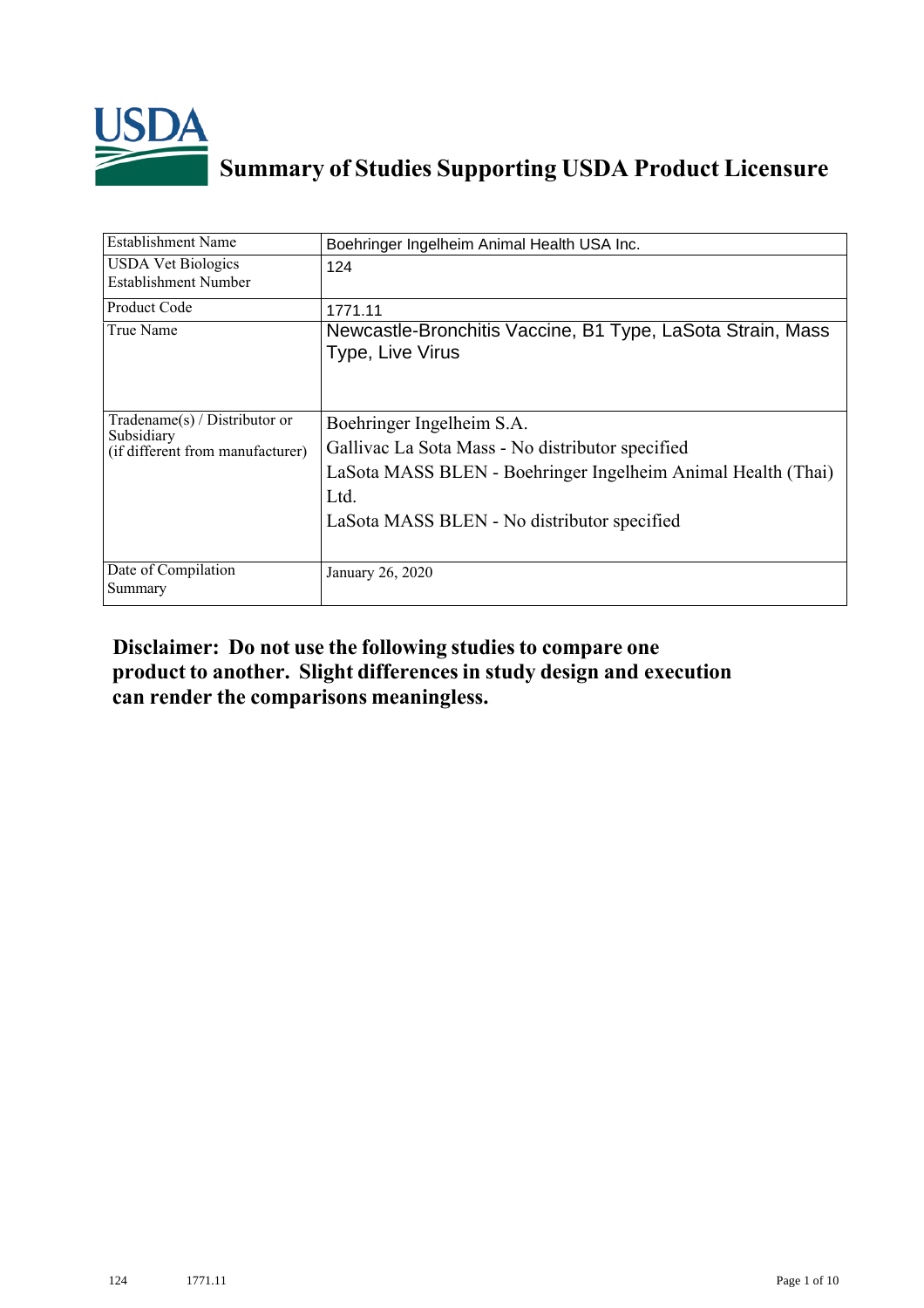

## **Summary of Studies Supporting USDA Product Licensure**

| <b>Establishment Name</b>                                                       | Boehringer Ingelheim Animal Health USA Inc.                                                                                                                                                          |
|---------------------------------------------------------------------------------|------------------------------------------------------------------------------------------------------------------------------------------------------------------------------------------------------|
| <b>USDA Vet Biologics</b><br>Establishment Number                               | 124                                                                                                                                                                                                  |
| Product Code                                                                    | 1771.11                                                                                                                                                                                              |
| True Name                                                                       | Newcastle-Bronchitis Vaccine, B1 Type, LaSota Strain, Mass<br>Type, Live Virus                                                                                                                       |
| Tradename(s) / Distributor or<br>Subsidiary<br>(if different from manufacturer) | Boehringer Ingelheim S.A.<br>Gallivac La Sota Mass - No distributor specified<br>LaSota MASS BLEN - Boehringer Ingelheim Animal Health (Thai)<br>Ltd.<br>LaSota MASS BLEN - No distributor specified |
| Date of Compilation<br>Summary                                                  | January 26, 2020                                                                                                                                                                                     |

## **Disclaimer: Do not use the following studiesto compare one product to another. Slight differencesin study design and execution can render the comparisons meaningless.**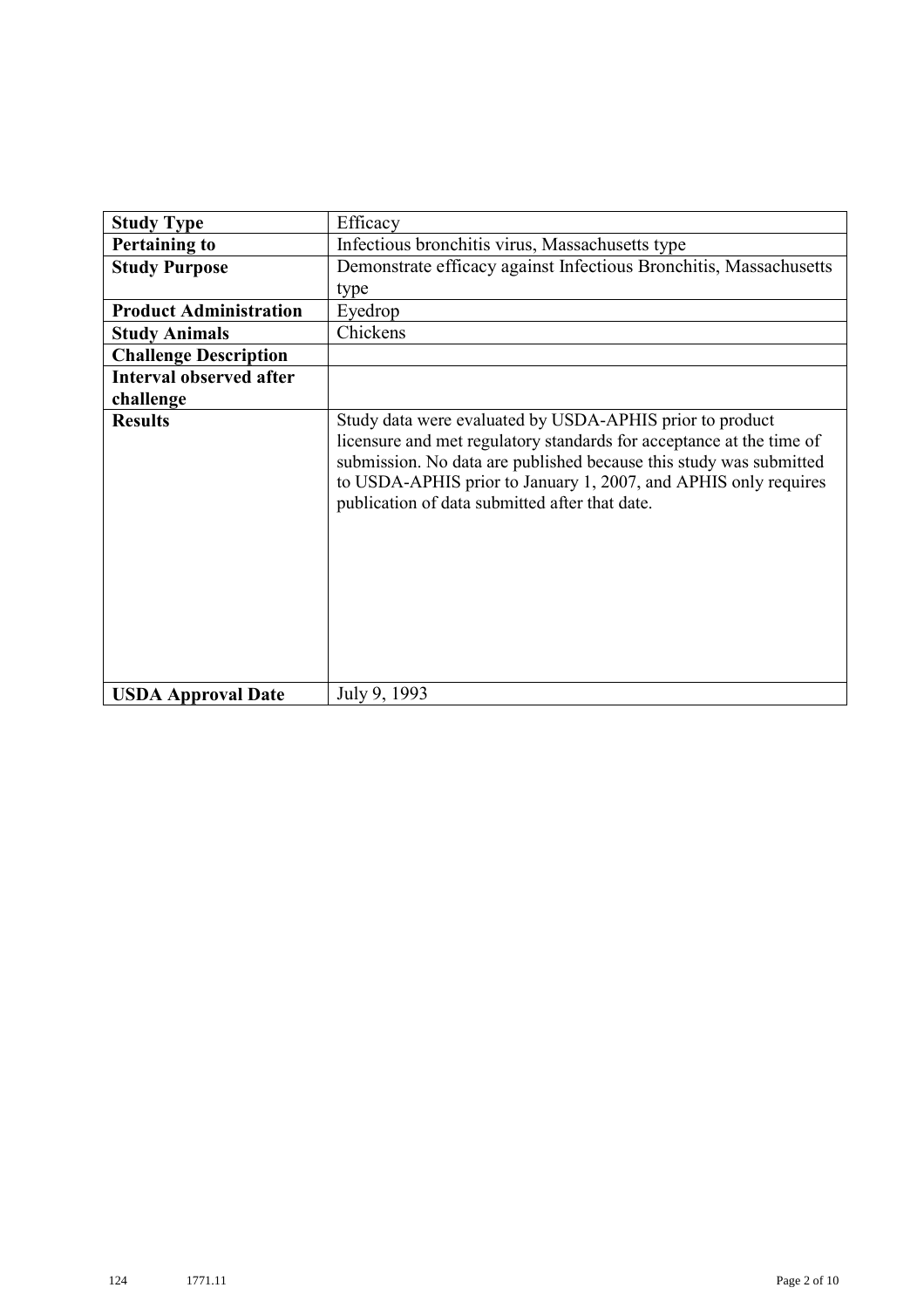| <b>Study Type</b>              | Efficacy                                                                                                                                                                                                                                                                                                                    |
|--------------------------------|-----------------------------------------------------------------------------------------------------------------------------------------------------------------------------------------------------------------------------------------------------------------------------------------------------------------------------|
| <b>Pertaining to</b>           | Infectious bronchitis virus, Massachusetts type                                                                                                                                                                                                                                                                             |
| <b>Study Purpose</b>           | Demonstrate efficacy against Infectious Bronchitis, Massachusetts                                                                                                                                                                                                                                                           |
|                                | type                                                                                                                                                                                                                                                                                                                        |
| <b>Product Administration</b>  | Eyedrop                                                                                                                                                                                                                                                                                                                     |
| <b>Study Animals</b>           | Chickens                                                                                                                                                                                                                                                                                                                    |
| <b>Challenge Description</b>   |                                                                                                                                                                                                                                                                                                                             |
| <b>Interval observed after</b> |                                                                                                                                                                                                                                                                                                                             |
| challenge                      |                                                                                                                                                                                                                                                                                                                             |
| <b>Results</b>                 | Study data were evaluated by USDA-APHIS prior to product<br>licensure and met regulatory standards for acceptance at the time of<br>submission. No data are published because this study was submitted<br>to USDA-APHIS prior to January 1, 2007, and APHIS only requires<br>publication of data submitted after that date. |
| <b>USDA Approval Date</b>      | July 9, 1993                                                                                                                                                                                                                                                                                                                |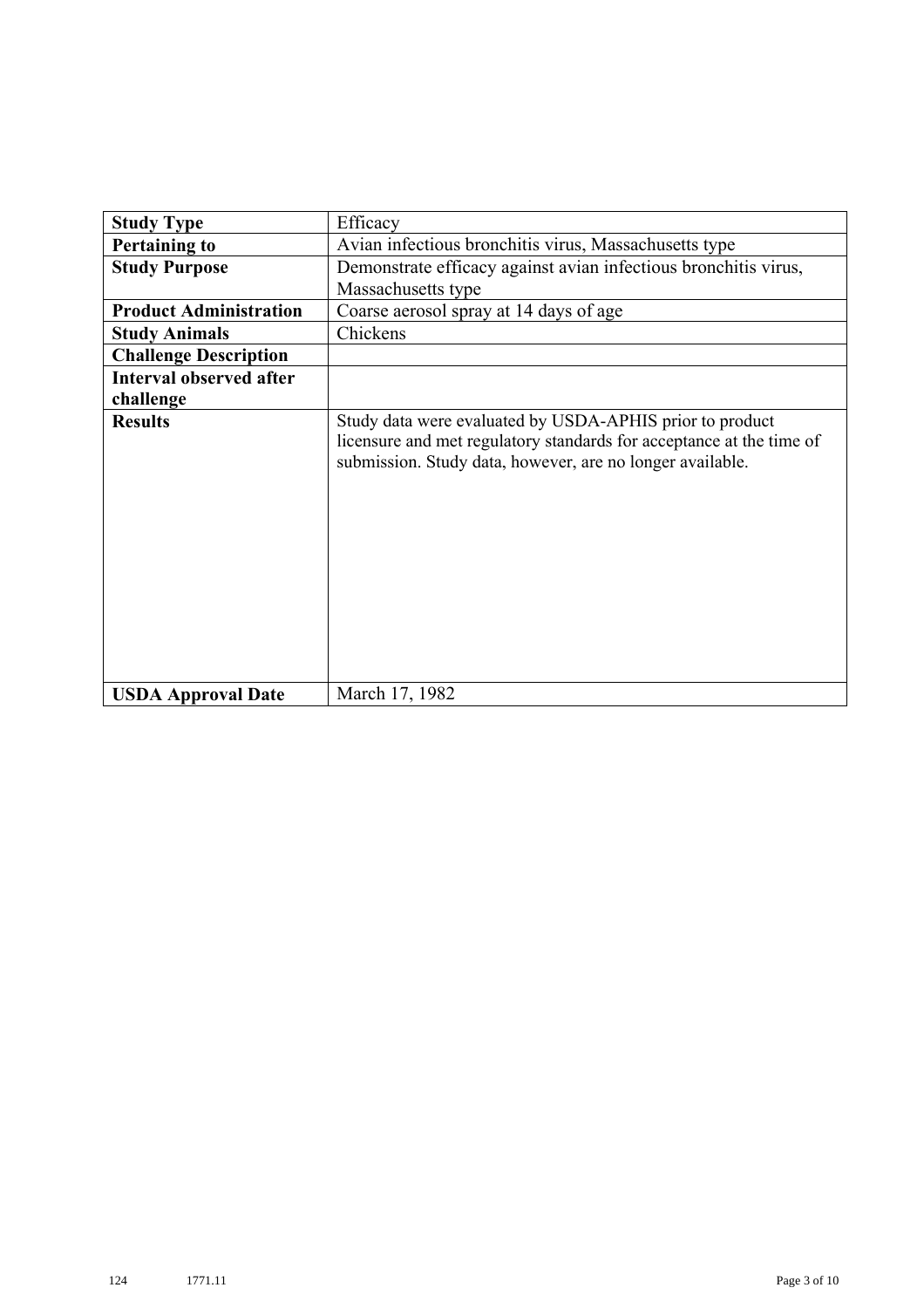| <b>Study Type</b>              | Efficacy                                                                                                                                                                                      |
|--------------------------------|-----------------------------------------------------------------------------------------------------------------------------------------------------------------------------------------------|
| <b>Pertaining to</b>           | Avian infectious bronchitis virus, Massachusetts type                                                                                                                                         |
| <b>Study Purpose</b>           | Demonstrate efficacy against avian infectious bronchitis virus,                                                                                                                               |
|                                | Massachusetts type                                                                                                                                                                            |
| <b>Product Administration</b>  | Coarse aerosol spray at 14 days of age                                                                                                                                                        |
| <b>Study Animals</b>           | Chickens                                                                                                                                                                                      |
| <b>Challenge Description</b>   |                                                                                                                                                                                               |
| <b>Interval observed after</b> |                                                                                                                                                                                               |
| challenge                      |                                                                                                                                                                                               |
| <b>Results</b>                 | Study data were evaluated by USDA-APHIS prior to product<br>licensure and met regulatory standards for acceptance at the time of<br>submission. Study data, however, are no longer available. |
| <b>USDA Approval Date</b>      | March 17, 1982                                                                                                                                                                                |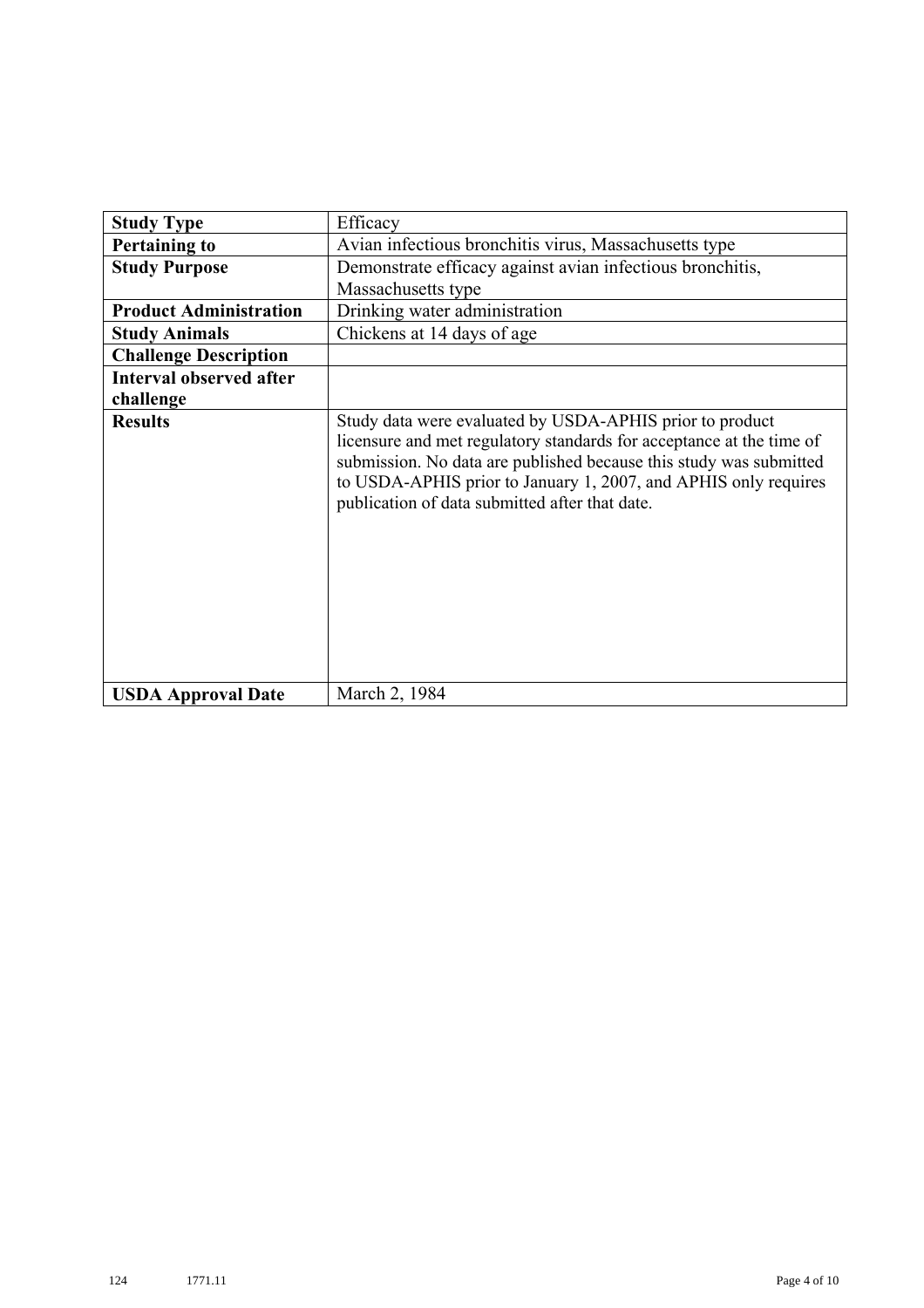| <b>Study Type</b>              | Efficacy                                                                                                                                                                                                                                                                                                                    |
|--------------------------------|-----------------------------------------------------------------------------------------------------------------------------------------------------------------------------------------------------------------------------------------------------------------------------------------------------------------------------|
| <b>Pertaining to</b>           | Avian infectious bronchitis virus, Massachusetts type                                                                                                                                                                                                                                                                       |
| <b>Study Purpose</b>           | Demonstrate efficacy against avian infectious bronchitis,                                                                                                                                                                                                                                                                   |
|                                | Massachusetts type                                                                                                                                                                                                                                                                                                          |
| <b>Product Administration</b>  | Drinking water administration                                                                                                                                                                                                                                                                                               |
| <b>Study Animals</b>           | Chickens at 14 days of age                                                                                                                                                                                                                                                                                                  |
| <b>Challenge Description</b>   |                                                                                                                                                                                                                                                                                                                             |
| <b>Interval observed after</b> |                                                                                                                                                                                                                                                                                                                             |
| challenge                      |                                                                                                                                                                                                                                                                                                                             |
| <b>Results</b>                 | Study data were evaluated by USDA-APHIS prior to product<br>licensure and met regulatory standards for acceptance at the time of<br>submission. No data are published because this study was submitted<br>to USDA-APHIS prior to January 1, 2007, and APHIS only requires<br>publication of data submitted after that date. |
| <b>USDA Approval Date</b>      | March 2, 1984                                                                                                                                                                                                                                                                                                               |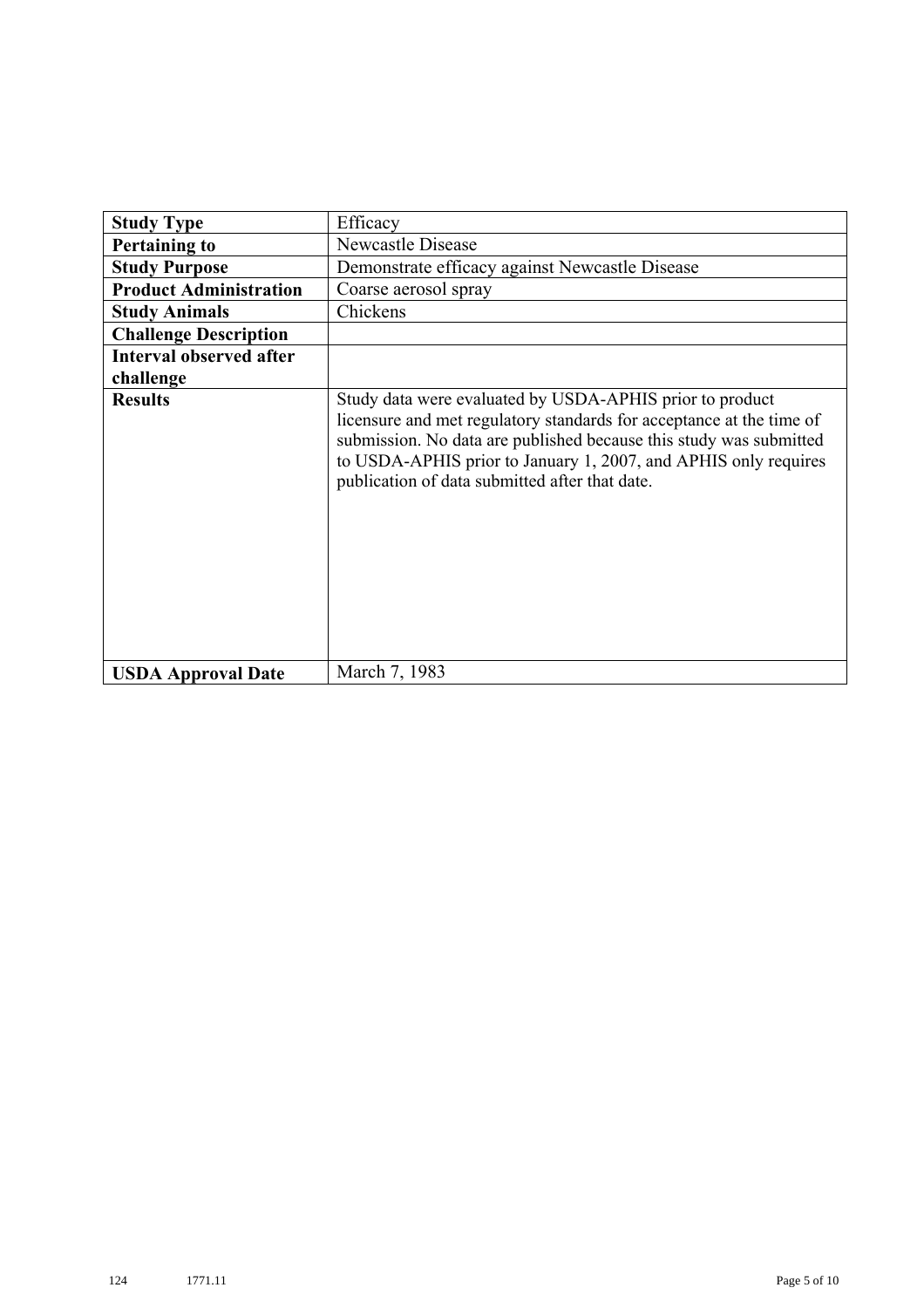| <b>Study Type</b>              | Efficacy                                                                                                                                                                                                                                                                                                                    |
|--------------------------------|-----------------------------------------------------------------------------------------------------------------------------------------------------------------------------------------------------------------------------------------------------------------------------------------------------------------------------|
| <b>Pertaining to</b>           | <b>Newcastle Disease</b>                                                                                                                                                                                                                                                                                                    |
| <b>Study Purpose</b>           | Demonstrate efficacy against Newcastle Disease                                                                                                                                                                                                                                                                              |
| <b>Product Administration</b>  | Coarse aerosol spray                                                                                                                                                                                                                                                                                                        |
| <b>Study Animals</b>           | Chickens                                                                                                                                                                                                                                                                                                                    |
| <b>Challenge Description</b>   |                                                                                                                                                                                                                                                                                                                             |
| <b>Interval observed after</b> |                                                                                                                                                                                                                                                                                                                             |
| challenge                      |                                                                                                                                                                                                                                                                                                                             |
| <b>Results</b>                 | Study data were evaluated by USDA-APHIS prior to product<br>licensure and met regulatory standards for acceptance at the time of<br>submission. No data are published because this study was submitted<br>to USDA-APHIS prior to January 1, 2007, and APHIS only requires<br>publication of data submitted after that date. |
| <b>USDA Approval Date</b>      | March 7, 1983                                                                                                                                                                                                                                                                                                               |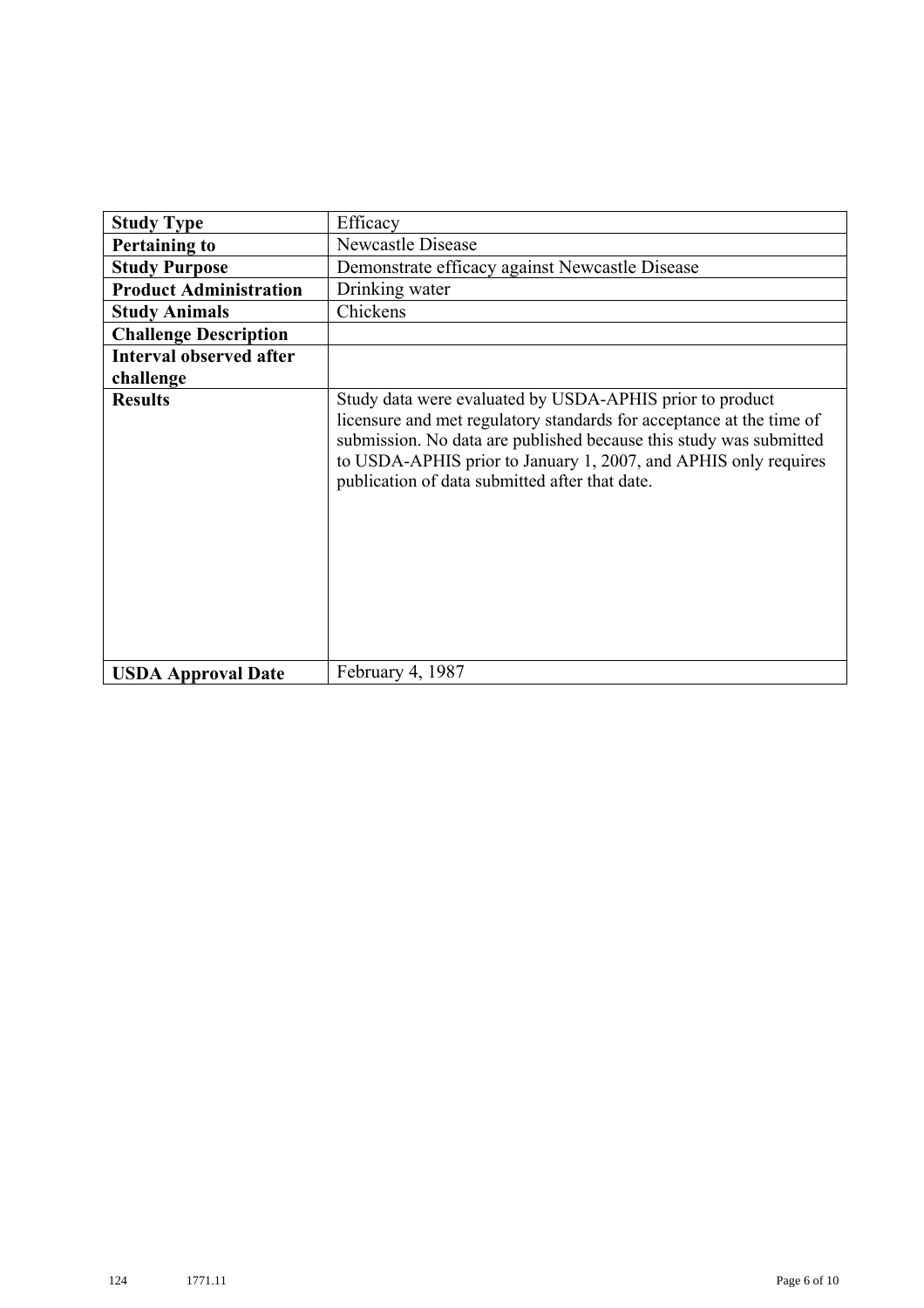| <b>Study Type</b>              | Efficacy                                                                                                                                                                                                                                                                                                                    |
|--------------------------------|-----------------------------------------------------------------------------------------------------------------------------------------------------------------------------------------------------------------------------------------------------------------------------------------------------------------------------|
| <b>Pertaining to</b>           | Newcastle Disease                                                                                                                                                                                                                                                                                                           |
| <b>Study Purpose</b>           | Demonstrate efficacy against Newcastle Disease                                                                                                                                                                                                                                                                              |
| <b>Product Administration</b>  | Drinking water                                                                                                                                                                                                                                                                                                              |
| <b>Study Animals</b>           | Chickens                                                                                                                                                                                                                                                                                                                    |
| <b>Challenge Description</b>   |                                                                                                                                                                                                                                                                                                                             |
| <b>Interval observed after</b> |                                                                                                                                                                                                                                                                                                                             |
| challenge                      |                                                                                                                                                                                                                                                                                                                             |
| <b>Results</b>                 | Study data were evaluated by USDA-APHIS prior to product<br>licensure and met regulatory standards for acceptance at the time of<br>submission. No data are published because this study was submitted<br>to USDA-APHIS prior to January 1, 2007, and APHIS only requires<br>publication of data submitted after that date. |
| <b>USDA Approval Date</b>      | February 4, 1987                                                                                                                                                                                                                                                                                                            |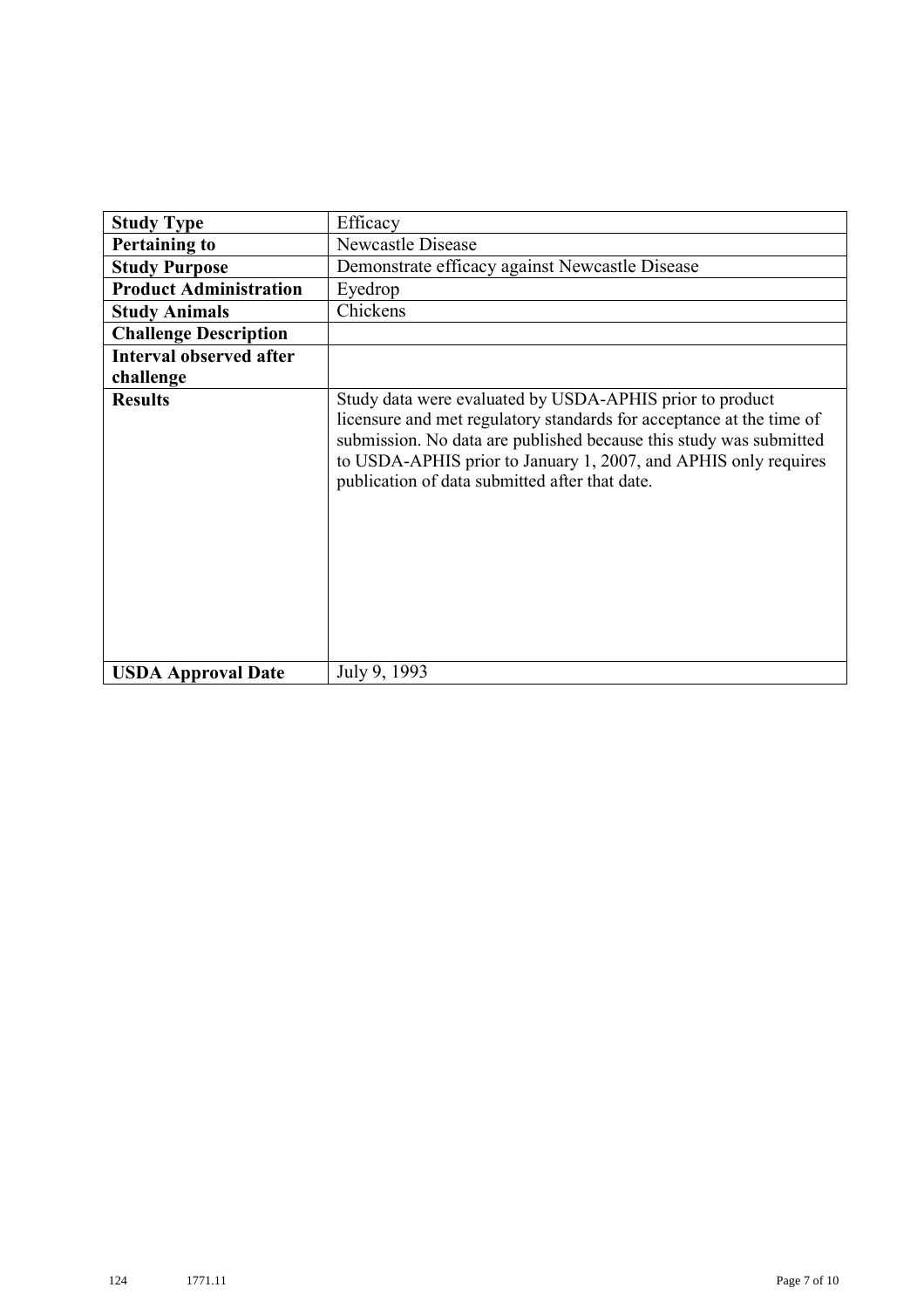|                                | Efficacy                                                                                                                                                                                                                                                                                                                    |
|--------------------------------|-----------------------------------------------------------------------------------------------------------------------------------------------------------------------------------------------------------------------------------------------------------------------------------------------------------------------------|
| <b>Study Type</b>              |                                                                                                                                                                                                                                                                                                                             |
| <b>Pertaining to</b>           | <b>Newcastle Disease</b>                                                                                                                                                                                                                                                                                                    |
| <b>Study Purpose</b>           | Demonstrate efficacy against Newcastle Disease                                                                                                                                                                                                                                                                              |
| <b>Product Administration</b>  | Eyedrop                                                                                                                                                                                                                                                                                                                     |
| <b>Study Animals</b>           | Chickens                                                                                                                                                                                                                                                                                                                    |
| <b>Challenge Description</b>   |                                                                                                                                                                                                                                                                                                                             |
| <b>Interval observed after</b> |                                                                                                                                                                                                                                                                                                                             |
| challenge                      |                                                                                                                                                                                                                                                                                                                             |
| <b>Results</b>                 | Study data were evaluated by USDA-APHIS prior to product<br>licensure and met regulatory standards for acceptance at the time of<br>submission. No data are published because this study was submitted<br>to USDA-APHIS prior to January 1, 2007, and APHIS only requires<br>publication of data submitted after that date. |
| <b>USDA Approval Date</b>      | July 9, 1993                                                                                                                                                                                                                                                                                                                |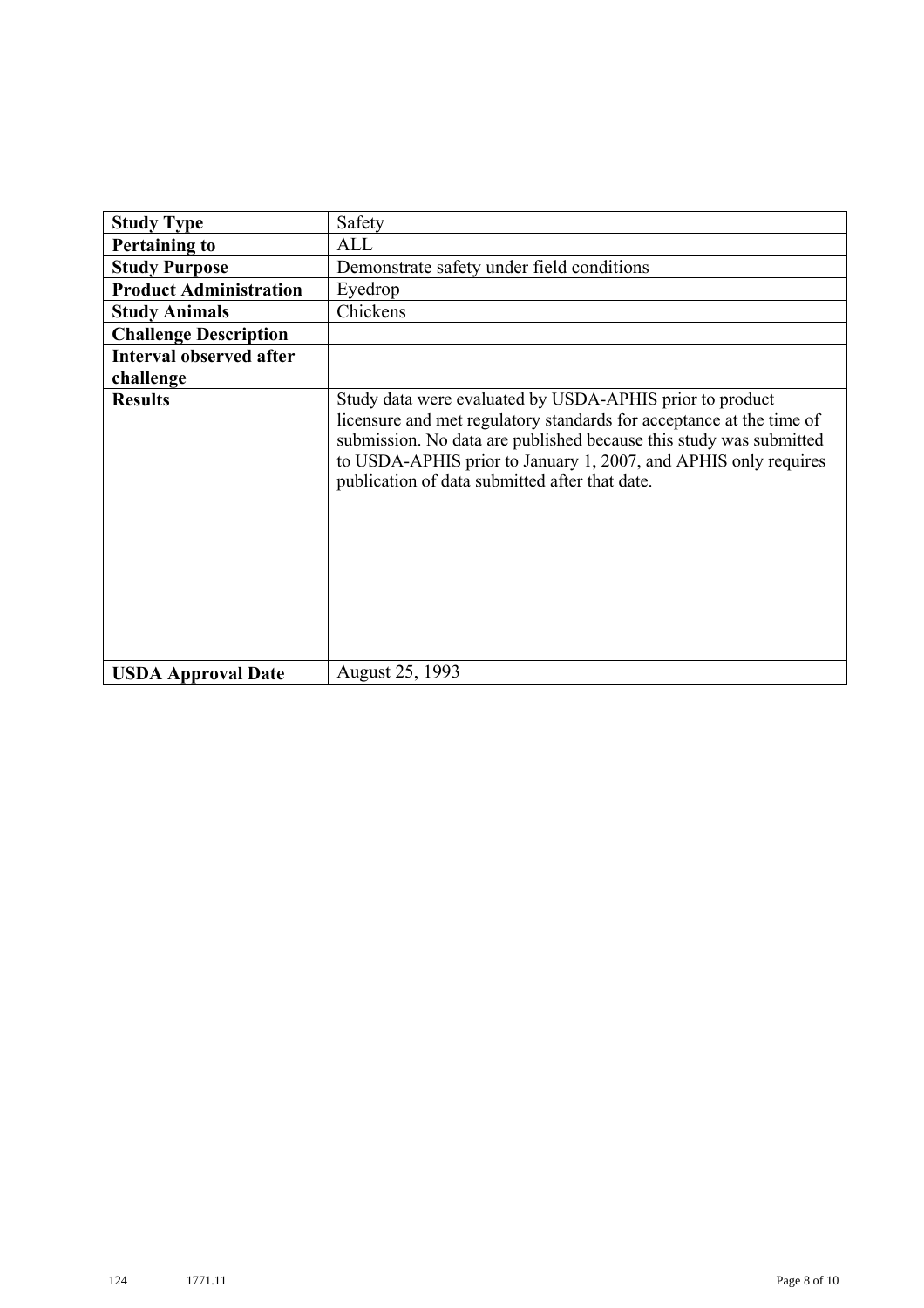| <b>Study Type</b>              | Safety                                                                                                                                                                                                                                                                                                                      |
|--------------------------------|-----------------------------------------------------------------------------------------------------------------------------------------------------------------------------------------------------------------------------------------------------------------------------------------------------------------------------|
| <b>Pertaining to</b>           | ALL                                                                                                                                                                                                                                                                                                                         |
| <b>Study Purpose</b>           | Demonstrate safety under field conditions                                                                                                                                                                                                                                                                                   |
| <b>Product Administration</b>  | Eyedrop                                                                                                                                                                                                                                                                                                                     |
| <b>Study Animals</b>           | Chickens                                                                                                                                                                                                                                                                                                                    |
| <b>Challenge Description</b>   |                                                                                                                                                                                                                                                                                                                             |
| <b>Interval observed after</b> |                                                                                                                                                                                                                                                                                                                             |
| challenge                      |                                                                                                                                                                                                                                                                                                                             |
| <b>Results</b>                 | Study data were evaluated by USDA-APHIS prior to product<br>licensure and met regulatory standards for acceptance at the time of<br>submission. No data are published because this study was submitted<br>to USDA-APHIS prior to January 1, 2007, and APHIS only requires<br>publication of data submitted after that date. |
| <b>USDA Approval Date</b>      | August 25, 1993                                                                                                                                                                                                                                                                                                             |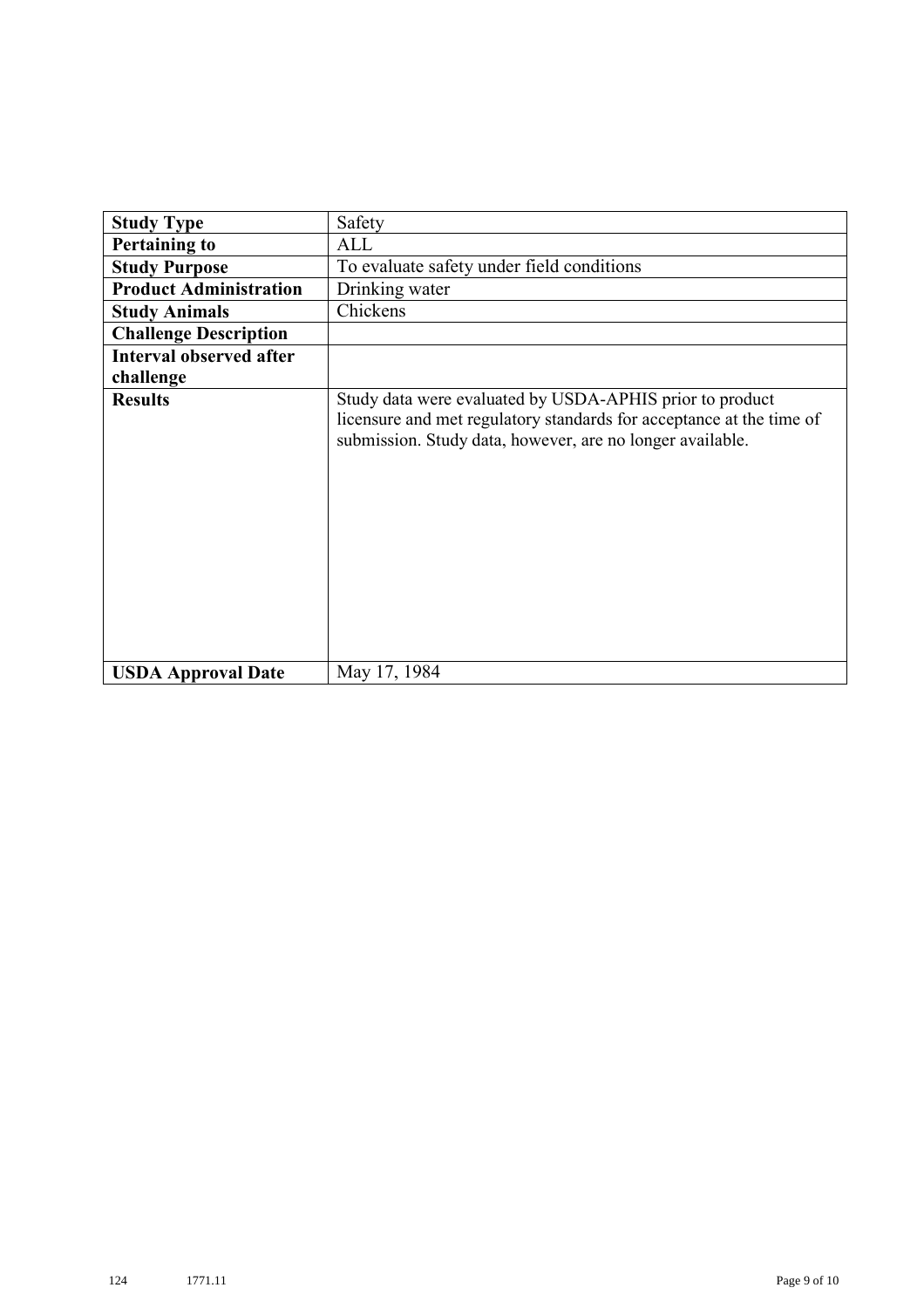| <b>Study Type</b>              | Safety                                                                                                                                                                                        |
|--------------------------------|-----------------------------------------------------------------------------------------------------------------------------------------------------------------------------------------------|
| <b>Pertaining to</b>           | ALL                                                                                                                                                                                           |
| <b>Study Purpose</b>           | To evaluate safety under field conditions                                                                                                                                                     |
| <b>Product Administration</b>  | Drinking water                                                                                                                                                                                |
| <b>Study Animals</b>           | Chickens                                                                                                                                                                                      |
| <b>Challenge Description</b>   |                                                                                                                                                                                               |
| <b>Interval observed after</b> |                                                                                                                                                                                               |
| challenge                      |                                                                                                                                                                                               |
| <b>Results</b>                 | Study data were evaluated by USDA-APHIS prior to product<br>licensure and met regulatory standards for acceptance at the time of<br>submission. Study data, however, are no longer available. |
| <b>USDA Approval Date</b>      | May 17, 1984                                                                                                                                                                                  |